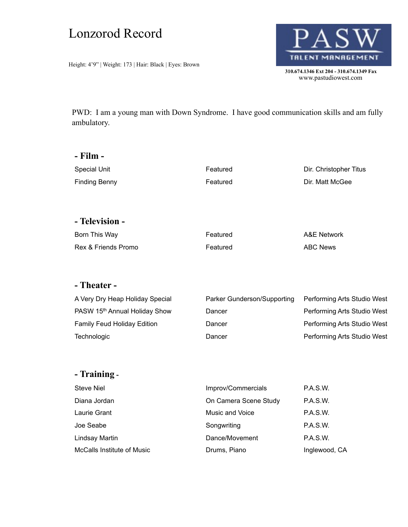# Lonzorod Record

Height: 4'9" | Weight: 173 | Hair: Black | Eyes: Brown



PWD: I am a young man with Down Syndrome. I have good communication skills and am fully ambulatory.

| - Film -             |          |                        |
|----------------------|----------|------------------------|
| <b>Special Unit</b>  | Featured | Dir. Christopher Titus |
| <b>Finding Benny</b> | Featured | Dir. Matt McGee        |
|                      |          |                        |
|                      |          |                        |
| - Television -       |          |                        |
| Born This Way        | Featured | A&E Network            |
| Rex & Friends Promo  | Featured | <b>ABC News</b>        |

### **- Theater -**

| A Very Dry Heap Holiday Special    | Parker Gunderson/Supporting | Performing Arts Studio West |
|------------------------------------|-----------------------------|-----------------------------|
| PASW 15th Annual Holiday Show      | Dancer                      | Performing Arts Studio West |
| <b>Family Feud Holiday Edition</b> | Dancer                      | Performing Arts Studio West |
| Technologic                        | Dancer                      | Performing Arts Studio West |

### **- Training -**

| <b>Steve Niel</b>          | Improv/Commercials    | <b>P.A.S.W.</b> |
|----------------------------|-----------------------|-----------------|
| Diana Jordan               | On Camera Scene Study | P.A.S.W.        |
| Laurie Grant               | Music and Voice       | <b>P.A.S.W.</b> |
| Joe Seabe                  | Songwriting           | P.A.S.W.        |
| Lindsay Martin             | Dance/Movement        | P.A.S.W.        |
| McCalls Institute of Music | Drums, Piano          | Inglewood, CA   |